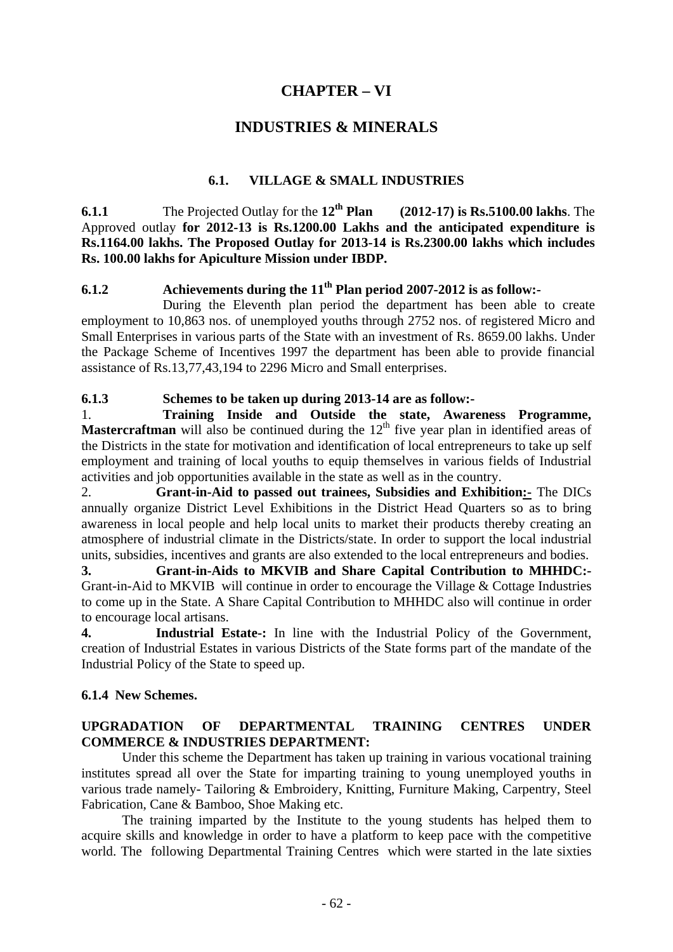# **CHAPTER – VI**

## **INDUSTRIES & MINERALS**

#### **6.1. VILLAGE & SMALL INDUSTRIES**

**6.1.1** The Projected Outlay for the **12th Plan (2012-17) is Rs.5100.00 lakhs**. The Approved outlay **for 2012-13 is Rs.1200.00 Lakhs and the anticipated expenditure is Rs.1164.00 lakhs. The Proposed Outlay for 2013-14 is Rs.2300.00 lakhs which includes Rs. 100.00 lakhs for Apiculture Mission under IBDP.** 

## **6.1.2 Achievements during the 11<sup>th</sup> Plan period 2007-2012 is as follow:-**

During the Eleventh plan period the department has been able to create employment to 10,863 nos. of unemployed youths through 2752 nos. of registered Micro and Small Enterprises in various parts of the State with an investment of Rs. 8659.00 lakhs. Under the Package Scheme of Incentives 1997 the department has been able to provide financial assistance of Rs.13,77,43,194 to 2296 Micro and Small enterprises.

#### **6.1.3 Schemes to be taken up during 2013-14 are as follow:-**

1. **Training Inside and Outside the state, Awareness Programme, Mastercraftman** will also be continued during the  $12<sup>th</sup>$  five year plan in identified areas of the Districts in the state for motivation and identification of local entrepreneurs to take up self employment and training of local youths to equip themselves in various fields of Industrial activities and job opportunities available in the state as well as in the country.

2. **Grant-in-Aid to passed out trainees, Subsidies and Exhibition:-** The DICs annually organize District Level Exhibitions in the District Head Quarters so as to bring awareness in local people and help local units to market their products thereby creating an atmosphere of industrial climate in the Districts/state. In order to support the local industrial units, subsidies, incentives and grants are also extended to the local entrepreneurs and bodies.

**3. Grant-in-Aids to MKVIB and Share Capital Contribution to MHHDC:-** Grant-in-Aid to MKVIB will continue in order to encourage the Village & Cottage Industries to come up in the State. A Share Capital Contribution to MHHDC also will continue in order to encourage local artisans.

**4. Industrial Estate-:** In line with the Industrial Policy of the Government, creation of Industrial Estates in various Districts of the State forms part of the mandate of the Industrial Policy of the State to speed up.

#### **6.1.4 New Schemes.**

## **UPGRADATION OF DEPARTMENTAL TRAINING CENTRES UNDER COMMERCE & INDUSTRIES DEPARTMENT:**

Under this scheme the Department has taken up training in various vocational training institutes spread all over the State for imparting training to young unemployed youths in various trade namely- Tailoring & Embroidery, Knitting, Furniture Making, Carpentry, Steel Fabrication, Cane & Bamboo, Shoe Making etc.

The training imparted by the Institute to the young students has helped them to acquire skills and knowledge in order to have a platform to keep pace with the competitive world. The following Departmental Training Centres which were started in the late sixties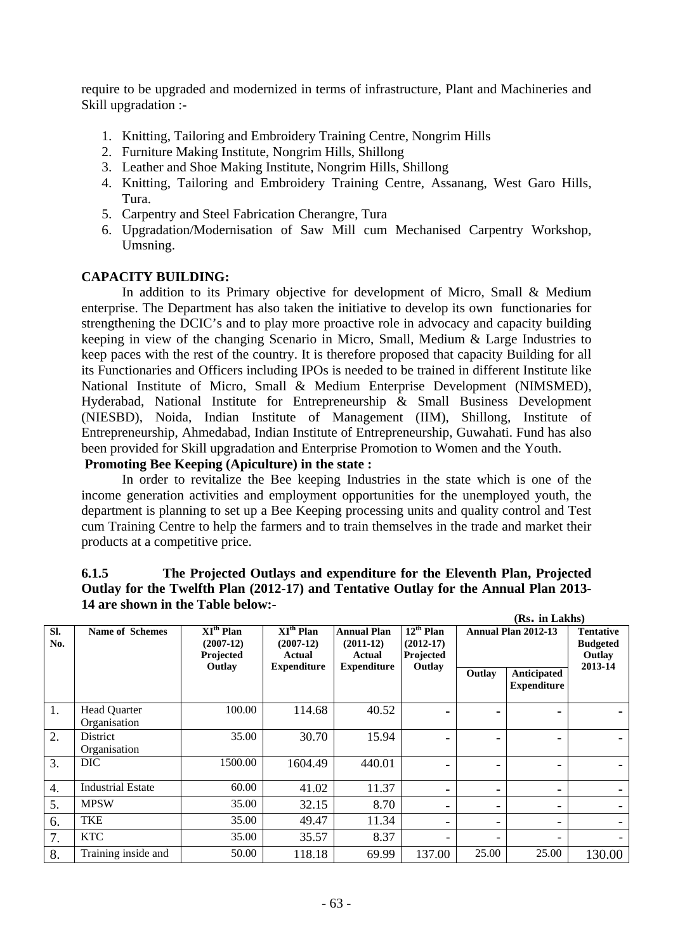require to be upgraded and modernized in terms of infrastructure, Plant and Machineries and Skill upgradation :-

- 1. Knitting, Tailoring and Embroidery Training Centre, Nongrim Hills
- 2. Furniture Making Institute, Nongrim Hills, Shillong
- 3. Leather and Shoe Making Institute, Nongrim Hills, Shillong
- 4. Knitting, Tailoring and Embroidery Training Centre, Assanang, West Garo Hills, Tura.
- 5. Carpentry and Steel Fabrication Cherangre, Tura
- 6. Upgradation/Modernisation of Saw Mill cum Mechanised Carpentry Workshop, Umsning.

#### **CAPACITY BUILDING:**

In addition to its Primary objective for development of Micro, Small & Medium enterprise. The Department has also taken the initiative to develop its own functionaries for strengthening the DCIC's and to play more proactive role in advocacy and capacity building keeping in view of the changing Scenario in Micro, Small, Medium & Large Industries to keep paces with the rest of the country. It is therefore proposed that capacity Building for all its Functionaries and Officers including IPOs is needed to be trained in different Institute like National Institute of Micro, Small & Medium Enterprise Development (NIMSMED), Hyderabad, National Institute for Entrepreneurship & Small Business Development (NIESBD), Noida, Indian Institute of Management (IIM), Shillong, Institute of Entrepreneurship, Ahmedabad, Indian Institute of Entrepreneurship, Guwahati. Fund has also been provided for Skill upgradation and Enterprise Promotion to Women and the Youth.

#### **Promoting Bee Keeping (Apiculture) in the state :**

In order to revitalize the Bee keeping Industries in the state which is one of the income generation activities and employment opportunities for the unemployed youth, the department is planning to set up a Bee Keeping processing units and quality control and Test cum Training Centre to help the farmers and to train themselves in the trade and market their products at a competitive price.

|                  | 14 are shown in the Table below:-   |                                                                 |                                                                                 |                                                                   |                                                   |                          |                                               |         |
|------------------|-------------------------------------|-----------------------------------------------------------------|---------------------------------------------------------------------------------|-------------------------------------------------------------------|---------------------------------------------------|--------------------------|-----------------------------------------------|---------|
|                  |                                     |                                                                 |                                                                                 |                                                                   |                                                   |                          | (Rs. in Lakhs)                                |         |
| SI.<br>No.       | <b>Name of Schemes</b>              | $\overline{XI^{th}}$ Plan<br>$(2007-12)$<br>Projected<br>Outlay | $\overline{XI^{th}}$ Plan<br>$(2007-12)$<br><b>Actual</b><br><b>Expenditure</b> | <b>Annual Plan</b><br>$(2011-12)$<br>Actual<br><b>Expenditure</b> | $12th$ Plan<br>$(2012-17)$<br>Projected<br>Outlay | Annual Plan 2012-13      | <b>Tentative</b><br><b>Budgeted</b><br>Outlay |         |
|                  |                                     |                                                                 |                                                                                 |                                                                   |                                                   | Outlay                   | Anticipated<br><b>Expenditure</b>             | 2013-14 |
| 1.               | <b>Head Quarter</b><br>Organisation | 100.00                                                          | 114.68                                                                          | 40.52                                                             |                                                   | $\blacksquare$           |                                               |         |
| $\overline{2}$ . | District<br>Organisation            | 35.00                                                           | 30.70                                                                           | 15.94                                                             |                                                   | -                        |                                               |         |
| 3.               | DIC                                 | 1500.00                                                         | 1604.49                                                                         | 440.01                                                            |                                                   |                          | $\blacksquare$                                |         |
| 4.               | <b>Industrial Estate</b>            | 60.00                                                           | 41.02                                                                           | 11.37                                                             |                                                   | $\blacksquare$           | $\blacksquare$                                |         |
| 5.               | <b>MPSW</b>                         | 35.00                                                           | 32.15                                                                           | 8.70                                                              |                                                   | $\blacksquare$           | $\blacksquare$                                |         |
| 6.               | <b>TKE</b>                          | 35.00                                                           | 49.47                                                                           | 11.34                                                             |                                                   | $\overline{\phantom{0}}$ |                                               |         |
| 7.               | <b>KTC</b>                          | 35.00                                                           | 35.57                                                                           | 8.37                                                              |                                                   | $\overline{\phantom{0}}$ |                                               |         |

# **6.1.5 The Projected Outlays and expenditure for the Eleventh Plan, Projected Outlay for the Twelfth Plan (2012-17) and Tentative Outlay for the Annual Plan 2013-**

8. Training inside and 50.00 118.18 69.99 137.00 25.00 25.00 130.00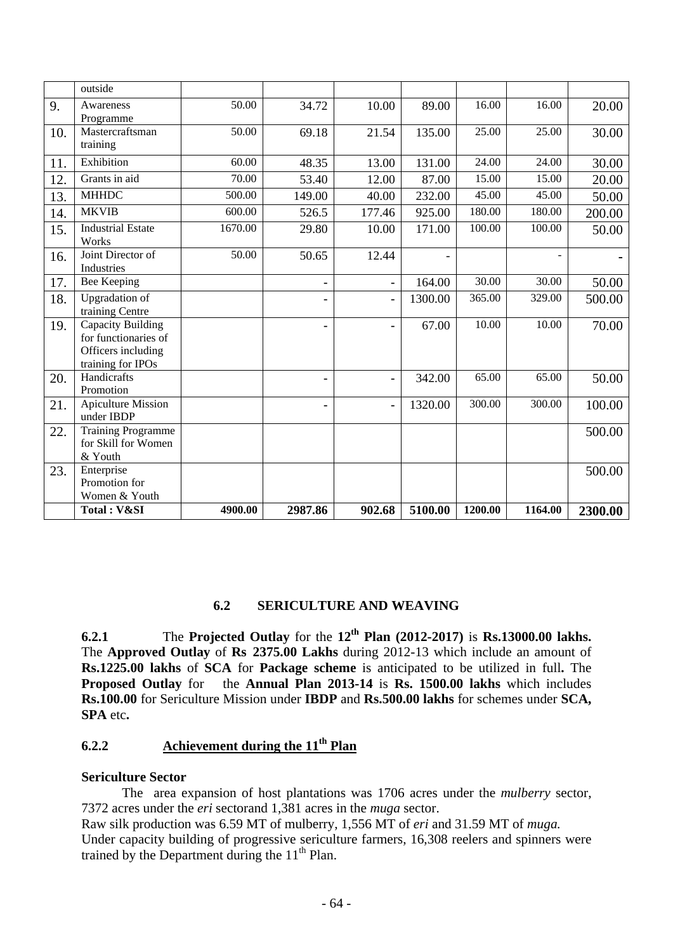|     | outside                                                                                     |         |         |                |         |         |         |         |
|-----|---------------------------------------------------------------------------------------------|---------|---------|----------------|---------|---------|---------|---------|
| 9.  | Awareness<br>Programme                                                                      | 50.00   | 34.72   | 10.00          | 89.00   | 16.00   | 16.00   | 20.00   |
| 10. | Mastercraftsman<br>training                                                                 | 50.00   | 69.18   | 21.54          | 135.00  | 25.00   | 25.00   | 30.00   |
| 11. | Exhibition                                                                                  | 60.00   | 48.35   | 13.00          | 131.00  | 24.00   | 24.00   | 30.00   |
| 12. | Grants in aid                                                                               | 70.00   | 53.40   | 12.00          | 87.00   | 15.00   | 15.00   | 20.00   |
| 13. | <b>MHHDC</b>                                                                                | 500.00  | 149.00  | 40.00          | 232.00  | 45.00   | 45.00   | 50.00   |
| 14. | <b>MKVIB</b>                                                                                | 600.00  | 526.5   | 177.46         | 925.00  | 180.00  | 180.00  | 200.00  |
| 15. | <b>Industrial Estate</b><br>Works                                                           | 1670.00 | 29.80   | 10.00          | 171.00  | 100.00  | 100.00  | 50.00   |
| 16. | Joint Director of<br>Industries                                                             | 50.00   | 50.65   | 12.44          |         |         |         |         |
| 17. | <b>Bee Keeping</b>                                                                          |         | -       | $\blacksquare$ | 164.00  | 30.00   | 30.00   | 50.00   |
| 18. | <b>Upgradation</b> of<br>training Centre                                                    |         | ÷       | $\blacksquare$ | 1300.00 | 365.00  | 329.00  | 500.00  |
| 19. | <b>Capacity Building</b><br>for functionaries of<br>Officers including<br>training for IPOs |         | ۰       | $\blacksquare$ | 67.00   | 10.00   | 10.00   | 70.00   |
| 20. | Handicrafts<br>Promotion                                                                    |         | ۰       | $\blacksquare$ | 342.00  | 65.00   | 65.00   | 50.00   |
| 21. | <b>Apiculture Mission</b><br>under IBDP                                                     |         | ۰       | $\blacksquare$ | 1320.00 | 300.00  | 300.00  | 100.00  |
| 22. | <b>Training Programme</b><br>for Skill for Women<br>& Youth                                 |         |         |                |         |         |         | 500.00  |
| 23. | Enterprise<br>Promotion for<br>Women & Youth                                                |         |         |                |         |         |         | 500.00  |
|     | Total: V&SI                                                                                 | 4900.00 | 2987.86 | 902.68         | 5100.00 | 1200.00 | 1164.00 | 2300.00 |

## **6.2 SERICULTURE AND WEAVING**

**6.2.1** The **Projected Outlay** for the  $12^{th}$  **Plan** (2012-2017) is **Rs.13000.00 lakhs.** The **Approved Outlay** of **Rs 2375.00 Lakhs** during 2012-13 which include an amount of **Rs.1225.00 lakhs** of **SCA** for **Package scheme** is anticipated to be utilized in full**.** The **Proposed Outlay** for the **Annual Plan 2013-14** is **Rs. 1500.00 lakhs** which includes **Rs.100.00** for Sericulture Mission under **IBDP** and **Rs.500.00 lakhs** for schemes under **SCA, SPA** etc**.** 

## **6.2.2** Achievement during the 11<sup>th</sup> Plan

#### **Sericulture Sector**

 The area expansion of host plantations was 1706 acres under the *mulberry* sector, 7372 acres under the *eri* sectorand 1,381 acres in the *muga* sector.

Raw silk production was 6.59 MT of mulberry, 1,556 MT of *eri* and 31.59 MT of *muga.* Under capacity building of progressive sericulture farmers, 16,308 reelers and spinners were trained by the Department during the  $11<sup>th</sup>$  Plan.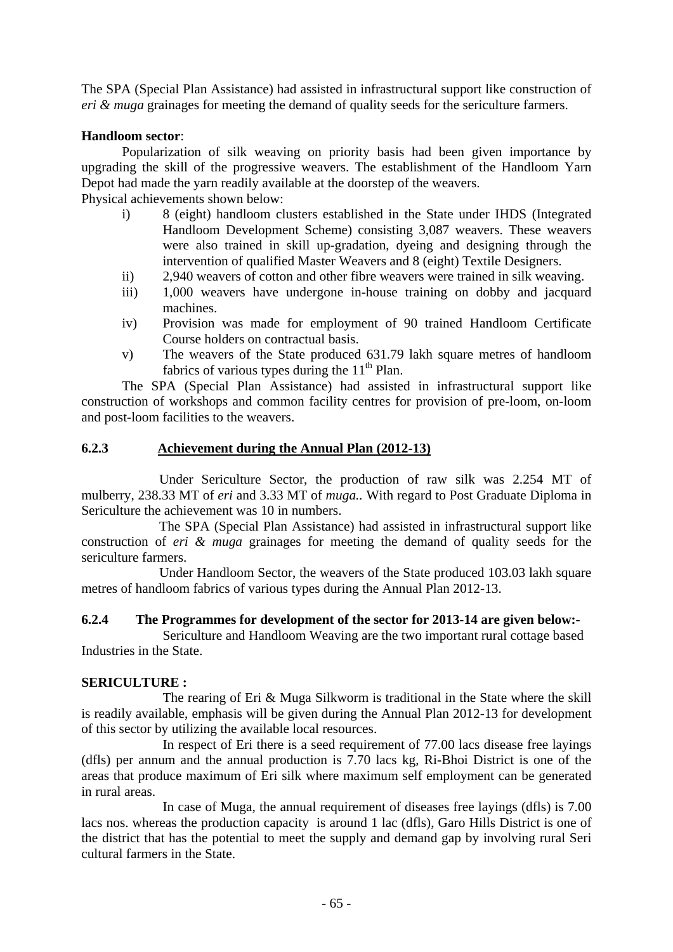The SPA (Special Plan Assistance) had assisted in infrastructural support like construction of *eri & muga* grainages for meeting the demand of quality seeds for the sericulture farmers.

#### **Handloom sector**:

 Popularization of silk weaving on priority basis had been given importance by upgrading the skill of the progressive weavers. The establishment of the Handloom Yarn Depot had made the yarn readily available at the doorstep of the weavers. Physical achievements shown below:

- i) 8 (eight) handloom clusters established in the State under IHDS (Integrated Handloom Development Scheme) consisting 3,087 weavers. These weavers were also trained in skill up-gradation, dyeing and designing through the intervention of qualified Master Weavers and 8 (eight) Textile Designers.
- ii) 2,940 weavers of cotton and other fibre weavers were trained in silk weaving.
- iii) 1,000 weavers have undergone in-house training on dobby and jacquard machines.
- iv) Provision was made for employment of 90 trained Handloom Certificate Course holders on contractual basis.
- v) The weavers of the State produced 631.79 lakh square metres of handloom fabrics of various types during the  $11<sup>th</sup>$  Plan.

 The SPA (Special Plan Assistance) had assisted in infrastructural support like construction of workshops and common facility centres for provision of pre-loom, on-loom and post-loom facilities to the weavers.

#### **6.2.3 Achievement during the Annual Plan (2012-13)**

 Under Sericulture Sector, the production of raw silk was 2.254 MT of mulberry, 238.33 MT of *eri* and 3.33 MT of *muga..* With regard to Post Graduate Diploma in Sericulture the achievement was 10 in numbers.

 The SPA (Special Plan Assistance) had assisted in infrastructural support like construction of *eri & muga* grainages for meeting the demand of quality seeds for the sericulture farmers.

 Under Handloom Sector, the weavers of the State produced 103.03 lakh square metres of handloom fabrics of various types during the Annual Plan 2012-13.

#### **6.2.4 The Programmes for development of the sector for 2013-14 are given below:-**

 Sericulture and Handloom Weaving are the two important rural cottage based Industries in the State.

## **SERICULTURE :**

The rearing of Eri & Muga Silkworm is traditional in the State where the skill is readily available, emphasis will be given during the Annual Plan 2012-13 for development of this sector by utilizing the available local resources.

 In respect of Eri there is a seed requirement of 77.00 lacs disease free layings (dfls) per annum and the annual production is 7.70 lacs kg, Ri-Bhoi District is one of the areas that produce maximum of Eri silk where maximum self employment can be generated in rural areas.

In case of Muga, the annual requirement of diseases free layings (dfls) is 7.00 lacs nos. whereas the production capacity is around 1 lac (dfls), Garo Hills District is one of the district that has the potential to meet the supply and demand gap by involving rural Seri cultural farmers in the State.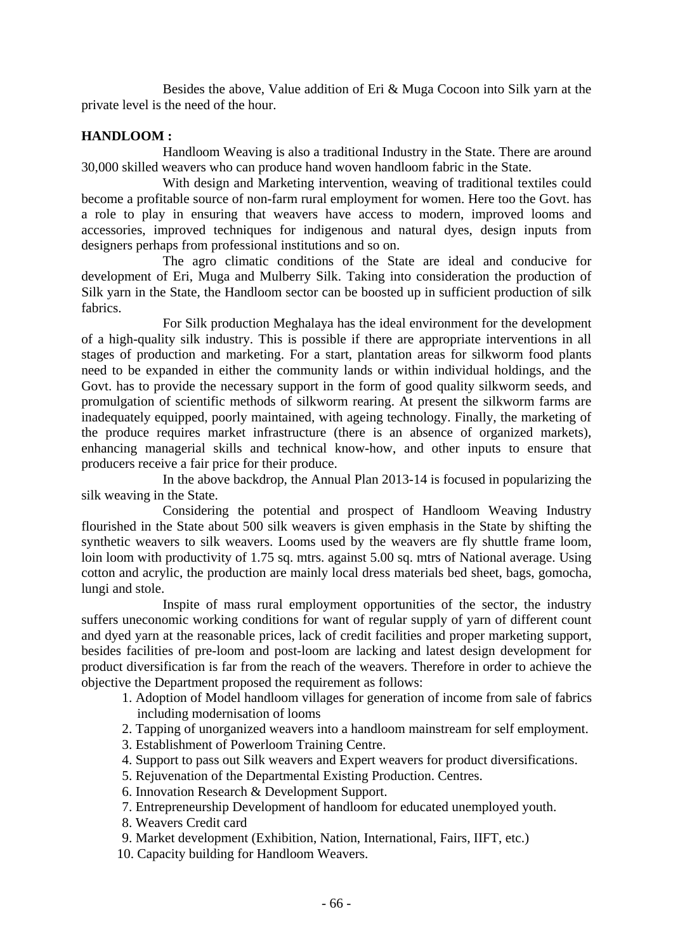Besides the above, Value addition of Eri & Muga Cocoon into Silk yarn at the private level is the need of the hour.

## **HANDLOOM :**

Handloom Weaving is also a traditional Industry in the State. There are around 30,000 skilled weavers who can produce hand woven handloom fabric in the State.

With design and Marketing intervention, weaving of traditional textiles could become a profitable source of non-farm rural employment for women. Here too the Govt. has a role to play in ensuring that weavers have access to modern, improved looms and accessories, improved techniques for indigenous and natural dyes, design inputs from designers perhaps from professional institutions and so on.

The agro climatic conditions of the State are ideal and conducive for development of Eri, Muga and Mulberry Silk. Taking into consideration the production of Silk yarn in the State, the Handloom sector can be boosted up in sufficient production of silk fabrics.

 For Silk production Meghalaya has the ideal environment for the development of a high-quality silk industry. This is possible if there are appropriate interventions in all stages of production and marketing. For a start, plantation areas for silkworm food plants need to be expanded in either the community lands or within individual holdings, and the Govt. has to provide the necessary support in the form of good quality silkworm seeds, and promulgation of scientific methods of silkworm rearing. At present the silkworm farms are inadequately equipped, poorly maintained, with ageing technology. Finally, the marketing of the produce requires market infrastructure (there is an absence of organized markets), enhancing managerial skills and technical know-how, and other inputs to ensure that producers receive a fair price for their produce.

In the above backdrop, the Annual Plan 2013-14 is focused in popularizing the silk weaving in the State.

Considering the potential and prospect of Handloom Weaving Industry flourished in the State about 500 silk weavers is given emphasis in the State by shifting the synthetic weavers to silk weavers. Looms used by the weavers are fly shuttle frame loom, loin loom with productivity of 1.75 sq. mtrs. against 5.00 sq. mtrs of National average. Using cotton and acrylic, the production are mainly local dress materials bed sheet, bags, gomocha, lungi and stole.

Inspite of mass rural employment opportunities of the sector, the industry suffers uneconomic working conditions for want of regular supply of yarn of different count and dyed yarn at the reasonable prices, lack of credit facilities and proper marketing support, besides facilities of pre-loom and post-loom are lacking and latest design development for product diversification is far from the reach of the weavers. Therefore in order to achieve the objective the Department proposed the requirement as follows:

- 1. Adoption of Model handloom villages for generation of income from sale of fabrics including modernisation of looms
- 2. Tapping of unorganized weavers into a handloom mainstream for self employment.
- 3. Establishment of Powerloom Training Centre.
- 4. Support to pass out Silk weavers and Expert weavers for product diversifications.
- 5. Rejuvenation of the Departmental Existing Production. Centres.
- 6. Innovation Research & Development Support.
- 7. Entrepreneurship Development of handloom for educated unemployed youth.
- 8. Weavers Credit card
- 9. Market development (Exhibition, Nation, International, Fairs, IIFT, etc.)
- 10. Capacity building for Handloom Weavers.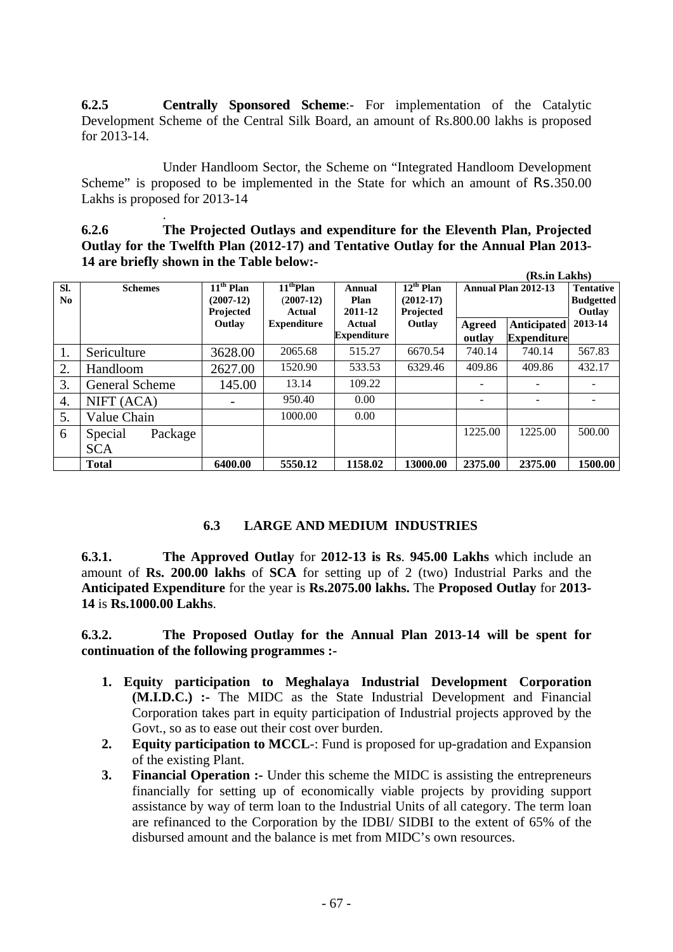**6.2.5 Centrally Sponsored Scheme**:- For implementation of the Catalytic Development Scheme of the Central Silk Board, an amount of Rs.800.00 lakhs is proposed for 2013-14.

Under Handloom Sector, the Scheme on "Integrated Handloom Development Scheme" is proposed to be implemented in the State for which an amount of Rs.350.00 Lakhs is proposed for 2013-14

. **6.2.6 The Projected Outlays and expenditure for the Eleventh Plan, Projected Outlay for the Twelfth Plan (2012-17) and Tentative Outlay for the Annual Plan 2013- 14 are briefly shown in the Table below:-** 

|                       |                    |                                                              |                                      |                              |                                            | (Rs.in Lakhs)           |                                          |                                                |  |
|-----------------------|--------------------|--------------------------------------------------------------|--------------------------------------|------------------------------|--------------------------------------------|-------------------------|------------------------------------------|------------------------------------------------|--|
| SI.<br>N <sub>0</sub> | <b>Schemes</b>     | $\overline{11}^{\text{th}}$ Plan<br>$(2007-12)$<br>Projected | $11th$ Plan<br>$(2007-12)$<br>Actual | Annual<br>Plan<br>2011-12    | $12^{th}$ Plan<br>$(2012-17)$<br>Projected | Annual Plan 2012-13     |                                          | <b>Tentative</b><br><b>Budgetted</b><br>Outlay |  |
|                       |                    | Outlay                                                       | <b>Expenditure</b>                   | Actual<br><b>Expenditure</b> | Outlay                                     | <b>Agreed</b><br>outlay | <b>Anticipated</b><br><b>Expenditure</b> | 2013-14                                        |  |
| 1.                    | Sericulture        | 3628.00                                                      | 2065.68                              | 515.27                       | 6670.54                                    | 740.14                  | 740.14                                   | 567.83                                         |  |
| 2.                    | Handloom           | 2627.00                                                      | 1520.90                              | 533.53                       | 6329.46                                    | 409.86                  | 409.86                                   | 432.17                                         |  |
| 3.                    | General Scheme     | 145.00                                                       | 13.14                                | 109.22                       |                                            |                         |                                          |                                                |  |
| 4.                    | NIFT (ACA)         |                                                              | 950.40                               | 0.00                         |                                            | -                       |                                          |                                                |  |
| 5.                    | Value Chain        |                                                              | 1000.00                              | 0.00                         |                                            |                         |                                          |                                                |  |
| 6                     | Special<br>Package |                                                              |                                      |                              |                                            | 1225.00                 | 1225.00                                  | 500.00                                         |  |
|                       | <b>SCA</b>         |                                                              |                                      |                              |                                            |                         |                                          |                                                |  |
|                       | <b>Total</b>       | 6400.00                                                      | 5550.12                              | 1158.02                      | 13000.00                                   | 2375.00                 | 2375.00                                  | 1500.00                                        |  |

## **6.3 LARGE AND MEDIUM INDUSTRIES**

**6.3.1. The Approved Outlay** for **2012-13 is Rs**. **945.00 Lakhs** which include an amount of **Rs. 200.00 lakhs** of **SCA** for setting up of 2 (two) Industrial Parks and the **Anticipated Expenditure** for the year is **Rs.2075.00 lakhs.** The **Proposed Outlay** for **2013- 14** is **Rs.1000.00 Lakhs**.

**6.3.2. The Proposed Outlay for the Annual Plan 2013-14 will be spent for continuation of the following programmes :-** 

- **1. Equity participation to Meghalaya Industrial Development Corporation (M.I.D.C.) :-** The MIDC as the State Industrial Development and Financial Corporation takes part in equity participation of Industrial projects approved by the Govt., so as to ease out their cost over burden.
- **2. Equity participation to MCCL**-: Fund is proposed for up-gradation and Expansion of the existing Plant.
- **3.** Financial Operation :- Under this scheme the MIDC is assisting the entrepreneurs financially for setting up of economically viable projects by providing support assistance by way of term loan to the Industrial Units of all category. The term loan are refinanced to the Corporation by the IDBI/ SIDBI to the extent of 65% of the disbursed amount and the balance is met from MIDC's own resources.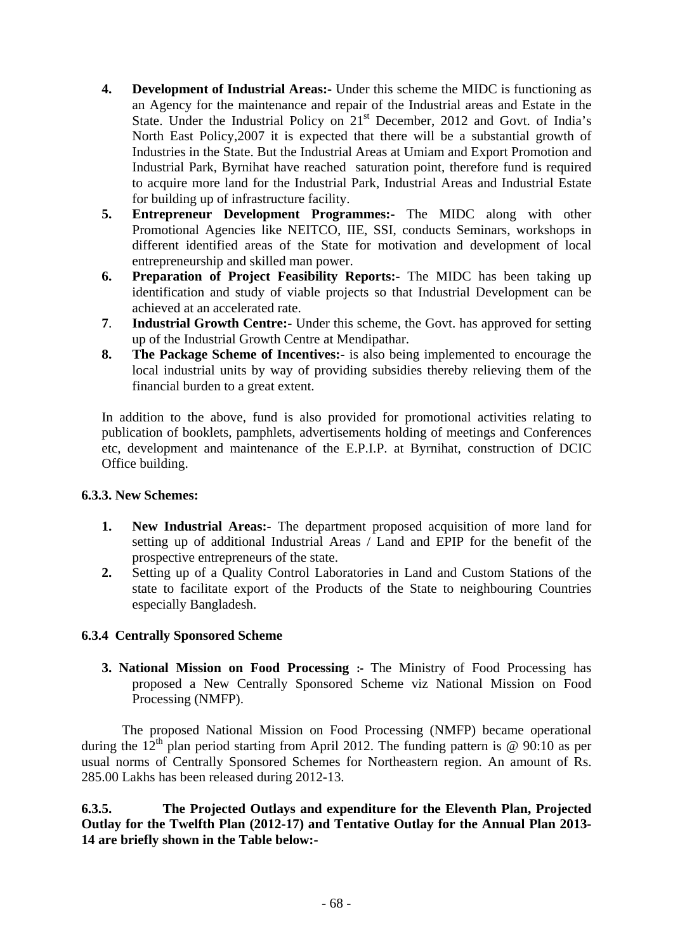- **4. Development of Industrial Areas:-** Under this scheme the MIDC is functioning as an Agency for the maintenance and repair of the Industrial areas and Estate in the State. Under the Industrial Policy on 21<sup>st</sup> December, 2012 and Govt. of India's North East Policy,2007 it is expected that there will be a substantial growth of Industries in the State. But the Industrial Areas at Umiam and Export Promotion and Industrial Park, Byrnihat have reached saturation point, therefore fund is required to acquire more land for the Industrial Park, Industrial Areas and Industrial Estate for building up of infrastructure facility.
- **5. Entrepreneur Development Programmes:-** The MIDC along with other Promotional Agencies like NEITCO, IIE, SSI, conducts Seminars, workshops in different identified areas of the State for motivation and development of local entrepreneurship and skilled man power.
- **6. Preparation of Project Feasibility Reports:-** The MIDC has been taking up identification and study of viable projects so that Industrial Development can be achieved at an accelerated rate.
- **7**. **Industrial Growth Centre:-** Under this scheme, the Govt. has approved for setting up of the Industrial Growth Centre at Mendipathar.
- **8. The Package Scheme of Incentives:-** is also being implemented to encourage the local industrial units by way of providing subsidies thereby relieving them of the financial burden to a great extent.

In addition to the above, fund is also provided for promotional activities relating to publication of booklets, pamphlets, advertisements holding of meetings and Conferences etc, development and maintenance of the E.P.I.P. at Byrnihat, construction of DCIC Office building.

## **6.3.3. New Schemes:**

- **1. New Industrial Areas:-** The department proposed acquisition of more land for setting up of additional Industrial Areas / Land and EPIP for the benefit of the prospective entrepreneurs of the state.
- **2.** Setting up of a Quality Control Laboratories in Land and Custom Stations of the state to facilitate export of the Products of the State to neighbouring Countries especially Bangladesh.

## **6.3.4 Centrally Sponsored Scheme**

**3. National Mission on Food Processing :‐** The Ministry of Food Processing has proposed a New Centrally Sponsored Scheme viz National Mission on Food Processing (NMFP).

The proposed National Mission on Food Processing (NMFP) became operational during the  $12<sup>th</sup>$  plan period starting from April 2012. The funding pattern is @ 90:10 as per usual norms of Centrally Sponsored Schemes for Northeastern region. An amount of Rs. 285.00 Lakhs has been released during 2012-13.

**6.3.5. The Projected Outlays and expenditure for the Eleventh Plan, Projected Outlay for the Twelfth Plan (2012-17) and Tentative Outlay for the Annual Plan 2013- 14 are briefly shown in the Table below:-**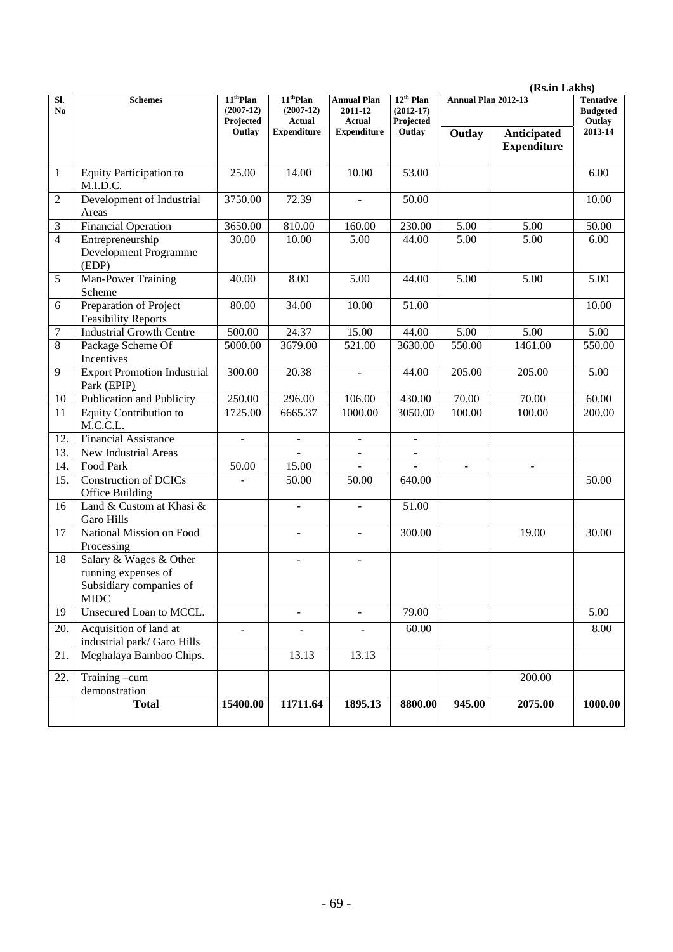|                |                                                                                         |                                         |                                                                             |                                                                      |                                                        |                              | (Rs.in Lakhs)                                 |         |
|----------------|-----------------------------------------------------------------------------------------|-----------------------------------------|-----------------------------------------------------------------------------|----------------------------------------------------------------------|--------------------------------------------------------|------------------------------|-----------------------------------------------|---------|
| SI.<br>No.     | <b>Schemes</b>                                                                          | $11th$ Plan<br>$(2007-12)$<br>Projected | 11 <sup>th</sup> Plan<br>$(2007-12)$<br><b>Actual</b><br><b>Expenditure</b> | <b>Annual Plan</b><br>2011-12<br><b>Actual</b><br><b>Expenditure</b> | $12^{th}$ Plan<br>$(2012 - 17)$<br>Projected<br>Outlay | Annual Plan 2012-13          | <b>Tentative</b><br><b>Budgeted</b><br>Outlay |         |
|                |                                                                                         | Outlay                                  |                                                                             |                                                                      |                                                        | Outlay                       | <b>Anticipated</b><br><b>Expenditure</b>      | 2013-14 |
| 1              | Equity Participation to<br>M.I.D.C.                                                     | 25.00                                   | 14.00                                                                       | 10.00                                                                | 53.00                                                  |                              |                                               | 6.00    |
| 2              | Development of Industrial<br>Areas                                                      | 3750.00                                 | 72.39                                                                       |                                                                      | 50.00                                                  |                              |                                               | 10.00   |
| 3              | <b>Financial Operation</b>                                                              | 3650.00                                 | 810.00                                                                      | 160.00                                                               | 230.00                                                 | 5.00                         | 5.00                                          | 50.00   |
| $\overline{4}$ | Entrepreneurship<br>Development Programme<br>(EDP)                                      | 30.00                                   | 10.00                                                                       | 5.00                                                                 | 44.00                                                  | 5.00                         | 5.00                                          | 6.00    |
| 5              | Man-Power Training<br>Scheme                                                            | 40.00                                   | 8.00                                                                        | 5.00                                                                 | 44.00                                                  | 5.00                         | 5.00                                          | 5.00    |
| 6              | Preparation of Project<br><b>Feasibility Reports</b>                                    | 80.00                                   | 34.00                                                                       | 10.00                                                                | 51.00                                                  |                              |                                               | 10.00   |
| 7              | <b>Industrial Growth Centre</b>                                                         | 500.00                                  | 24.37                                                                       | 15.00                                                                | 44.00                                                  | 5.00                         | 5.00                                          | 5.00    |
| 8              | Package Scheme Of<br>Incentives                                                         | 5000.00                                 | 3679.00                                                                     | 521.00                                                               | 3630.00                                                | 550.00                       | 1461.00                                       | 550.00  |
| 9              | <b>Export Promotion Industrial</b><br>Park (EPIP)                                       | 300.00                                  | 20.38                                                                       | $\blacksquare$                                                       | 44.00                                                  | 205.00                       | 205.00                                        | 5.00    |
| 10             | Publication and Publicity                                                               | 250.00                                  | 296.00                                                                      | 106.00                                                               | 430.00                                                 | 70.00                        | 70.00                                         | 60.00   |
| 11             | Equity Contribution to<br>M.C.C.L.                                                      | 1725.00                                 | 6665.37                                                                     | 1000.00                                                              | 3050.00                                                | 100.00                       | 100.00                                        | 200.00  |
| 12.            | <b>Financial Assistance</b>                                                             | $\qquad \qquad \blacksquare$            | $\overline{\phantom{a}}$                                                    | $\overline{\phantom{a}}$                                             | $\overline{\phantom{a}}$                               |                              |                                               |         |
| 13.            | New Industrial Areas                                                                    |                                         |                                                                             | $\blacksquare$                                                       | $\blacksquare$                                         |                              |                                               |         |
| 14.            | Food Park                                                                               | 50.00                                   | 15.00                                                                       | $\qquad \qquad \blacksquare$                                         |                                                        | $\qquad \qquad \blacksquare$ | $\overline{\phantom{a}}$                      |         |
| 15.            | <b>Construction of DCICs</b><br>Office Building                                         | $\overline{a}$                          | 50.00                                                                       | 50.00                                                                | 640.00                                                 |                              |                                               | 50.00   |
| 16             | Land & Custom at Khasi &<br>Garo Hills                                                  |                                         | $\overline{a}$                                                              | ÷.                                                                   | 51.00                                                  |                              |                                               |         |
| 17             | National Mission on Food<br>Processing                                                  |                                         | $\blacksquare$                                                              | ÷.                                                                   | 300.00                                                 |                              | 19.00                                         | 30.00   |
| 18             | Salary & Wages & Other<br>running expenses of<br>Subsidiary companies of<br><b>MIDC</b> |                                         | $\overline{\phantom{a}}$                                                    | ÷.                                                                   |                                                        |                              |                                               |         |
| 19             | Unsecured Loan to MCCL.                                                                 |                                         | $\Box$                                                                      | $\overline{a}$                                                       | 79.00                                                  |                              |                                               | 5.00    |
| 20.            | Acquisition of land at<br>industrial park/ Garo Hills                                   | $\blacksquare$                          | $\qquad \qquad \blacksquare$                                                | $\qquad \qquad \blacksquare$                                         | 60.00                                                  |                              |                                               | 8.00    |
| 21.            | Meghalaya Bamboo Chips.                                                                 |                                         | 13.13                                                                       | 13.13                                                                |                                                        |                              |                                               |         |
| 22.            | Training -cum<br>demonstration                                                          |                                         |                                                                             |                                                                      |                                                        |                              | 200.00                                        |         |
|                | <b>Total</b>                                                                            | 15400.00                                | 11711.64                                                                    | 1895.13                                                              | 8800.00                                                | 945.00                       | 2075.00                                       | 1000.00 |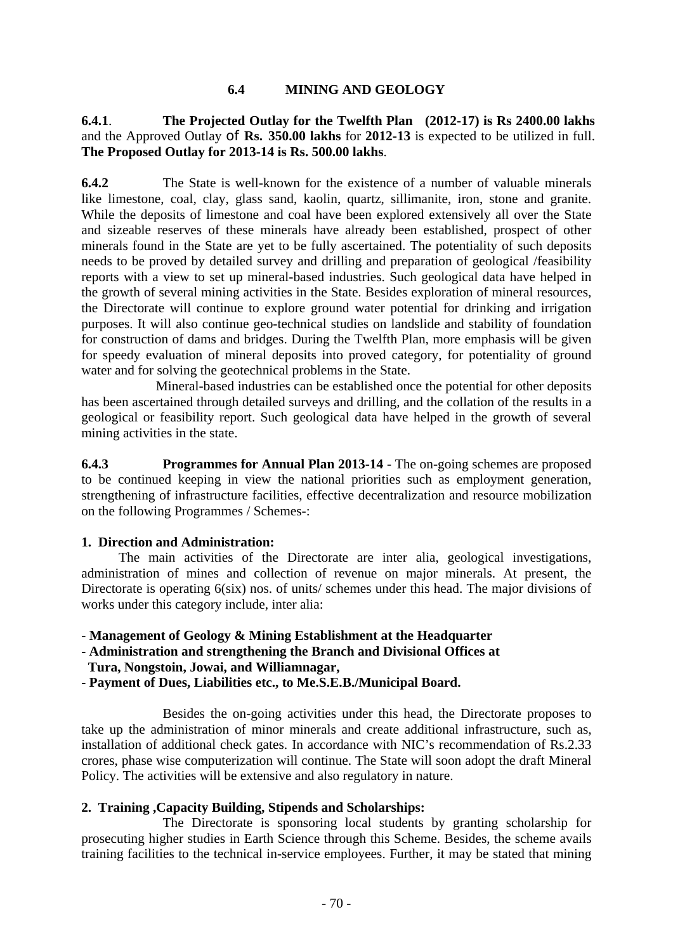#### **6.4 MINING AND GEOLOGY**

#### **6.4.1**. **The Projected Outlay for the Twelfth Plan (2012-17) is Rs 2400.00 lakhs**  and the Approved Outlay of **Rs. 350.00 lakhs** for **2012-13** is expected to be utilized in full. **The Proposed Outlay for 2013-14 is Rs. 500.00 lakhs**.

**6.4.2** The State is well-known for the existence of a number of valuable minerals like limestone, coal, clay, glass sand, kaolin, quartz, sillimanite, iron, stone and granite. While the deposits of limestone and coal have been explored extensively all over the State and sizeable reserves of these minerals have already been established, prospect of other minerals found in the State are yet to be fully ascertained. The potentiality of such deposits needs to be proved by detailed survey and drilling and preparation of geological /feasibility reports with a view to set up mineral-based industries. Such geological data have helped in the growth of several mining activities in the State. Besides exploration of mineral resources, the Directorate will continue to explore ground water potential for drinking and irrigation purposes. It will also continue geo-technical studies on landslide and stability of foundation for construction of dams and bridges. During the Twelfth Plan, more emphasis will be given for speedy evaluation of mineral deposits into proved category, for potentiality of ground water and for solving the geotechnical problems in the State.

 Mineral-based industries can be established once the potential for other deposits has been ascertained through detailed surveys and drilling, and the collation of the results in a geological or feasibility report. Such geological data have helped in the growth of several mining activities in the state.

**6.4.3 Programmes for Annual Plan 2013-14** - The on-going schemes are proposed to be continued keeping in view the national priorities such as employment generation, strengthening of infrastructure facilities, effective decentralization and resource mobilization on the following Programmes / Schemes-:

#### **1. Direction and Administration:**

 The main activities of the Directorate are inter alia, geological investigations, administration of mines and collection of revenue on major minerals. At present, the Directorate is operating  $6(six)$  nos. of units/ schemes under this head. The major divisions of works under this category include, inter alia:

- **Management of Geology & Mining Establishment at the Headquarter**
- **Administration and strengthening the Branch and Divisional Offices at**
- **Tura, Nongstoin, Jowai, and Williamnagar,**
- **Payment of Dues, Liabilities etc., to Me.S.E.B./Municipal Board.**

 Besides the on-going activities under this head, the Directorate proposes to take up the administration of minor minerals and create additional infrastructure, such as, installation of additional check gates. In accordance with NIC's recommendation of Rs.2.33 crores, phase wise computerization will continue. The State will soon adopt the draft Mineral Policy. The activities will be extensive and also regulatory in nature.

#### **2. Training ,Capacity Building, Stipends and Scholarships:**

 The Directorate is sponsoring local students by granting scholarship for prosecuting higher studies in Earth Science through this Scheme. Besides, the scheme avails training facilities to the technical in-service employees. Further, it may be stated that mining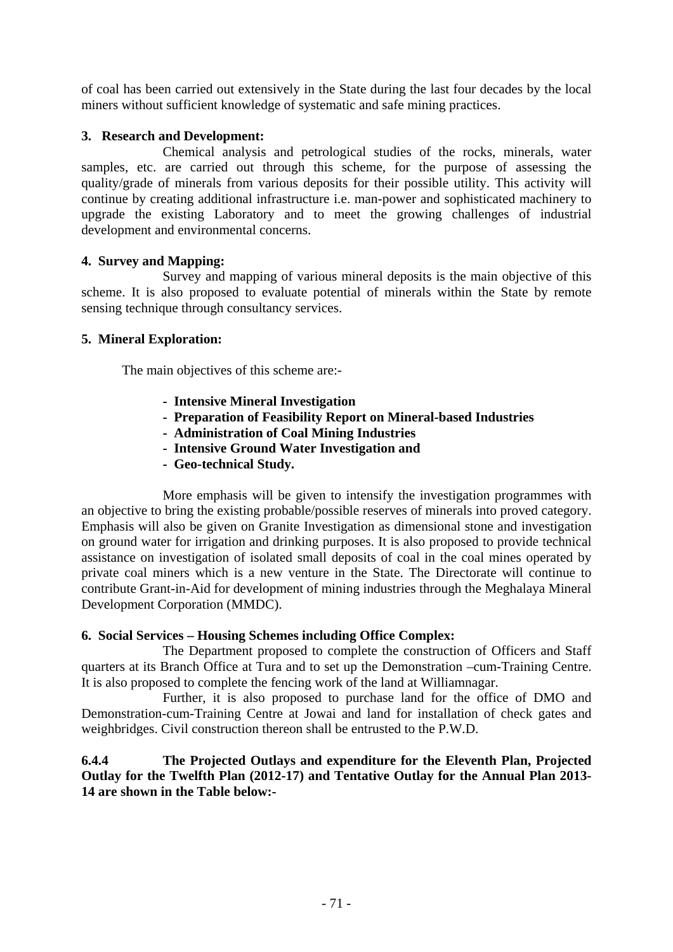of coal has been carried out extensively in the State during the last four decades by the local miners without sufficient knowledge of systematic and safe mining practices.

## **3. Research and Development:**

 Chemical analysis and petrological studies of the rocks, minerals, water samples, etc. are carried out through this scheme, for the purpose of assessing the quality/grade of minerals from various deposits for their possible utility. This activity will continue by creating additional infrastructure i.e. man-power and sophisticated machinery to upgrade the existing Laboratory and to meet the growing challenges of industrial development and environmental concerns.

## **4. Survey and Mapping:**

 Survey and mapping of various mineral deposits is the main objective of this scheme. It is also proposed to evaluate potential of minerals within the State by remote sensing technique through consultancy services.

## **5. Mineral Exploration:**

The main objectives of this scheme are:-

- **Intensive Mineral Investigation**
- **Preparation of Feasibility Report on Mineral-based Industries**
- **Administration of Coal Mining Industries**
- **Intensive Ground Water Investigation and**
- **Geo-technical Study.**

 More emphasis will be given to intensify the investigation programmes with an objective to bring the existing probable/possible reserves of minerals into proved category. Emphasis will also be given on Granite Investigation as dimensional stone and investigation on ground water for irrigation and drinking purposes. It is also proposed to provide technical assistance on investigation of isolated small deposits of coal in the coal mines operated by private coal miners which is a new venture in the State. The Directorate will continue to contribute Grant-in-Aid for development of mining industries through the Meghalaya Mineral Development Corporation (MMDC).

## **6. Social Services – Housing Schemes including Office Complex:**

 The Department proposed to complete the construction of Officers and Staff quarters at its Branch Office at Tura and to set up the Demonstration –cum-Training Centre. It is also proposed to complete the fencing work of the land at Williamnagar.

 Further, it is also proposed to purchase land for the office of DMO and Demonstration-cum-Training Centre at Jowai and land for installation of check gates and weighbridges. Civil construction thereon shall be entrusted to the P.W.D.

## **6.4.4 The Projected Outlays and expenditure for the Eleventh Plan, Projected Outlay for the Twelfth Plan (2012-17) and Tentative Outlay for the Annual Plan 2013- 14 are shown in the Table below:-**